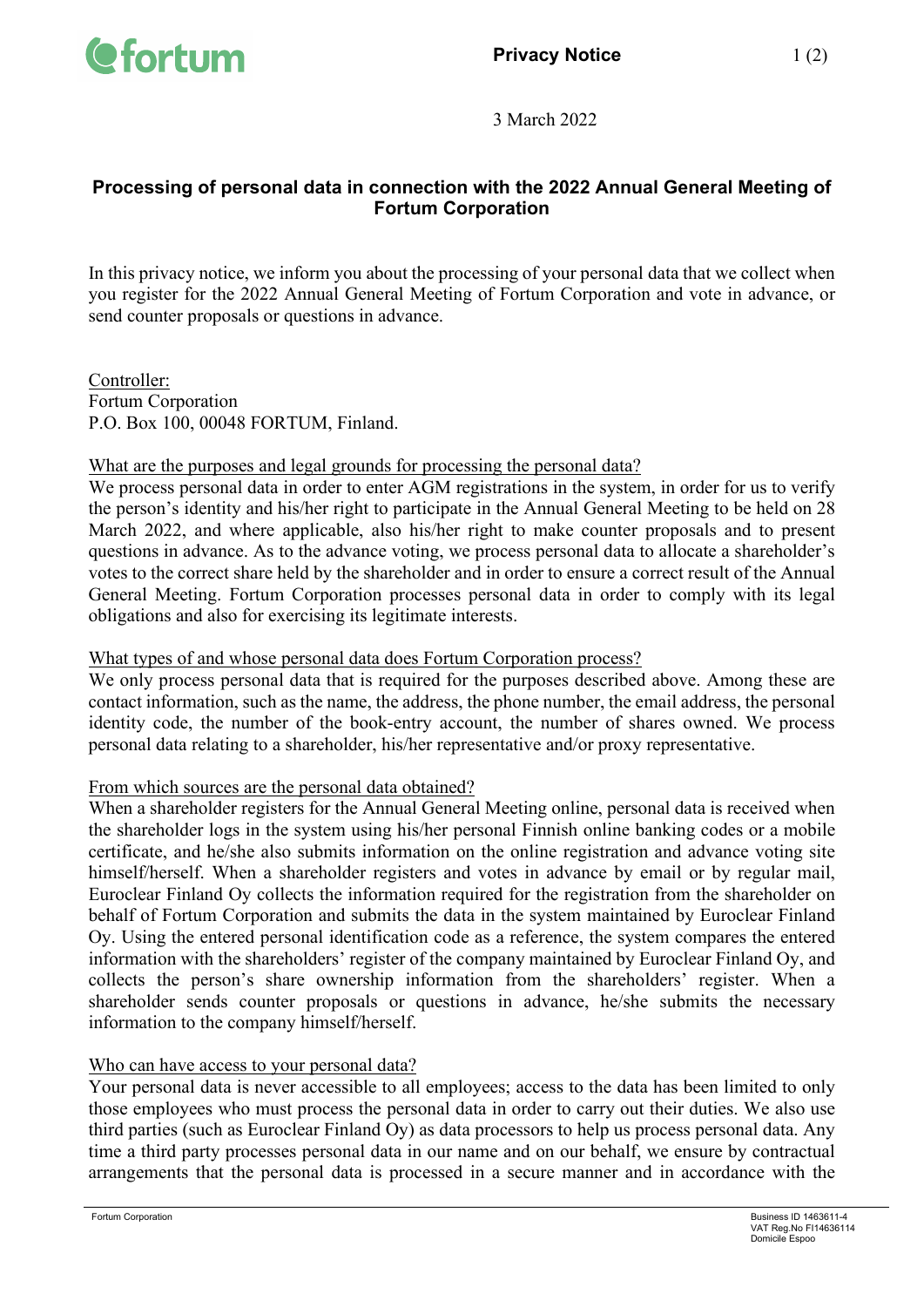

3 March 2022

# **Processing of personal data in connection with the 2022 Annual General Meeting of Fortum Corporation**

In this privacy notice, we inform you about the processing of your personal data that we collect when you register for the 2022 Annual General Meeting of Fortum Corporation and vote in advance, or send counter proposals or questions in advance.

Controller: Fortum Corporation P.O. Box 100, 00048 FORTUM, Finland.

### What are the purposes and legal grounds for processing the personal data?

We process personal data in order to enter AGM registrations in the system, in order for us to verify the person's identity and his/her right to participate in the Annual General Meeting to be held on 28 March 2022, and where applicable, also his/her right to make counter proposals and to present questions in advance. As to the advance voting, we process personal data to allocate a shareholder's votes to the correct share held by the shareholder and in order to ensure a correct result of the Annual General Meeting. Fortum Corporation processes personal data in order to comply with its legal obligations and also for exercising its legitimate interests.

#### What types of and whose personal data does Fortum Corporation process?

We only process personal data that is required for the purposes described above. Among these are contact information, such as the name, the address, the phone number, the email address, the personal identity code, the number of the book-entry account, the number of shares owned. We process personal data relating to a shareholder, his/her representative and/or proxy representative.

#### From which sources are the personal data obtained?

When a shareholder registers for the Annual General Meeting online, personal data is received when the shareholder logs in the system using his/her personal Finnish online banking codes or a mobile certificate, and he/she also submits information on the online registration and advance voting site himself/herself. When a shareholder registers and votes in advance by email or by regular mail, Euroclear Finland Oy collects the information required for the registration from the shareholder on behalf of Fortum Corporation and submits the data in the system maintained by Euroclear Finland Oy. Using the entered personal identification code as a reference, the system compares the entered information with the shareholders' register of the company maintained by Euroclear Finland Oy, and collects the person's share ownership information from the shareholders' register. When a shareholder sends counter proposals or questions in advance, he/she submits the necessary information to the company himself/herself.

### Who can have access to your personal data?

Your personal data is never accessible to all employees; access to the data has been limited to only those employees who must process the personal data in order to carry out their duties. We also use third parties (such as Euroclear Finland Oy) as data processors to help us process personal data. Any time a third party processes personal data in our name and on our behalf, we ensure by contractual arrangements that the personal data is processed in a secure manner and in accordance with the